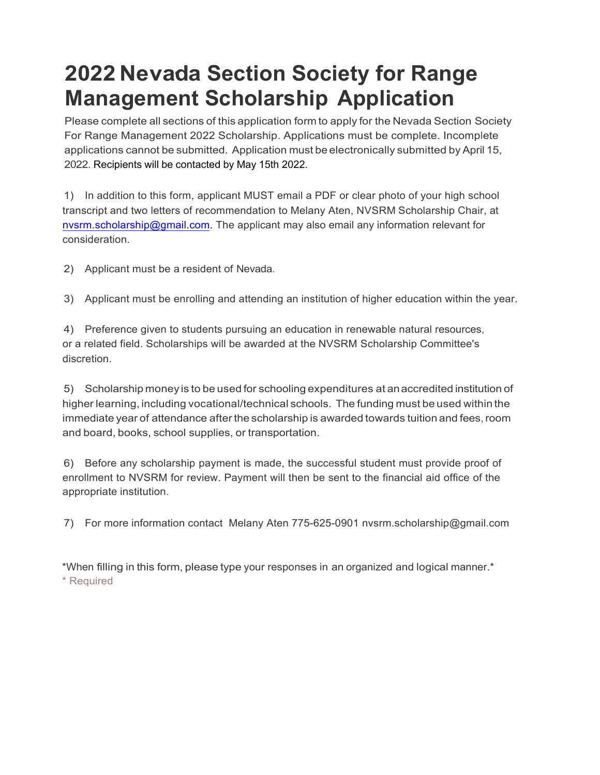## **2022 Nevada Section Society for Range Management Scholarship Application**

Please complete all sections of this application form to apply for the Nevada Section Society For Range Management 2022 Scholarship. Applications must be complete. Incomplete applications cannot be submitted. Application must be electronically submitted by April 15, 2022. Recipients will be contacted by May 15th 2022.

1) In addition to this form, applicant MUST email a PDF or clear photo of your high school transcript and two letters of recommendation to Melany Aten, NVSRM Scholarship Chair, at [nvsrm.scholarship@gmail.com. T](mailto:nvsrm.scholarship@gmail.com.)he applicant may also email any information relevant for consideration.

2) Applicant must be a resident of Nevada.

3) Applicant must be enrolling and attending an institution of higher education within the year.

4) Preference given to students pursuing an education in renewable natural resources, or a related field. Scholarships will be awarded at the NVSRM Scholarship Committee's discretion.

5) Scholarship money is to be used for schooling expenditures at anaccredited institution of higher learning, including vocational/technical schools. The funding must be used within the immediate year of attendance afterthe scholarship is awarded towards tuition and fees, room and board, books, school supplies, or transportation.

6) Before any scholarship payment is made, the successful student must provide proof of enrollment to NVSRM for review. Payment will then be sent to the financial aid office of the appropriate institution.

7) For more information contact Melany Aten 775-625-0901 [nvsrm.scholarship@gmail.com](nvsr.scholarship@gmail.com)

\*When filling in this form, please type your responses in an organized and logical manner.\* \* Required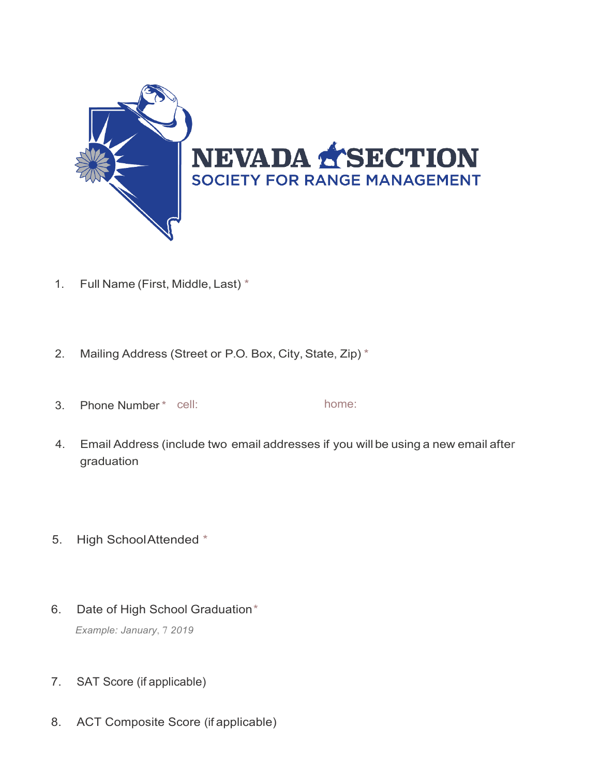

- 1. Full Name (First, Middle, Last) \*
- 2. Mailing Address (Street or P.O. Box, City, State, Zip) \*
- 3. Phone Number\* cell: home:
- 4. Email Address (include two email addresses if you will be using a new email after graduation
- 5. High SchoolAttended \*
- 6. Date of High School Graduation\*

*Example: January*, 7 *2019*

- 7. SAT Score (if applicable)
- 8. ACT Composite Score (if applicable)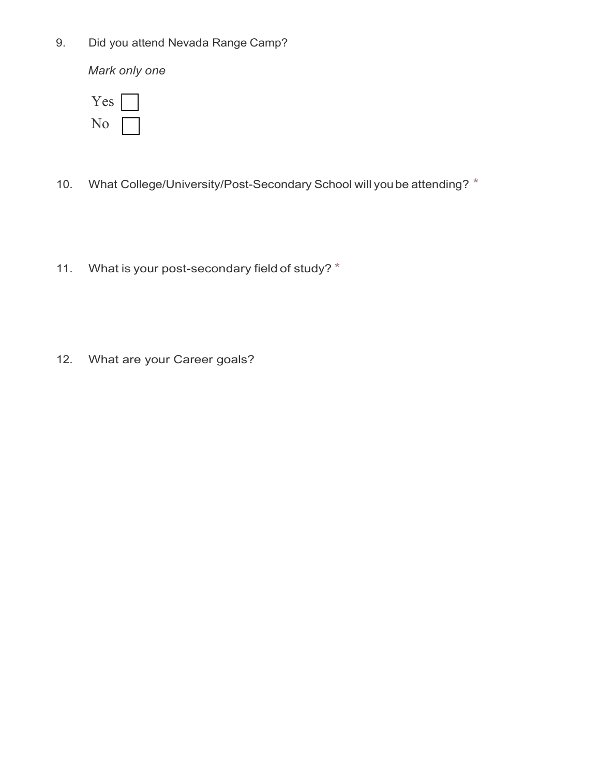9. Did you attend Nevada Range Camp?

*Mark only one*

| es |  |
|----|--|
|    |  |

- 10. What College/University/Post-Secondary School will you be attending? \*
- 11. What is your post-secondary field of study? \*
- 12. What are your Career goals?